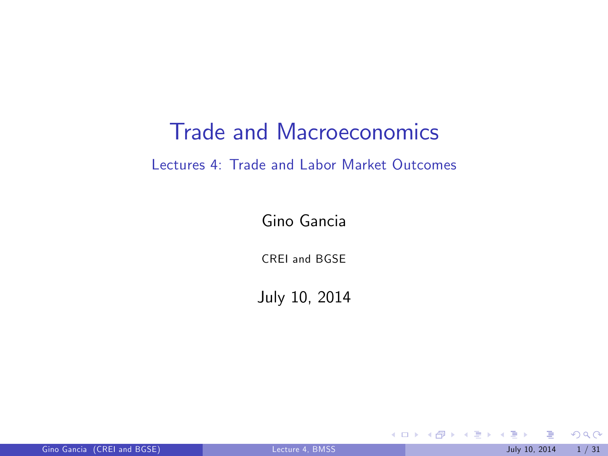#### Trade and Macroeconomics

#### Lectures 4: Trade and Labor Market Outcomes

Gino Gancia

CREI and BGSE

July 10, 2014

<span id="page-0-0"></span> $299$ 

メロト メ御 トメ きょ メきょ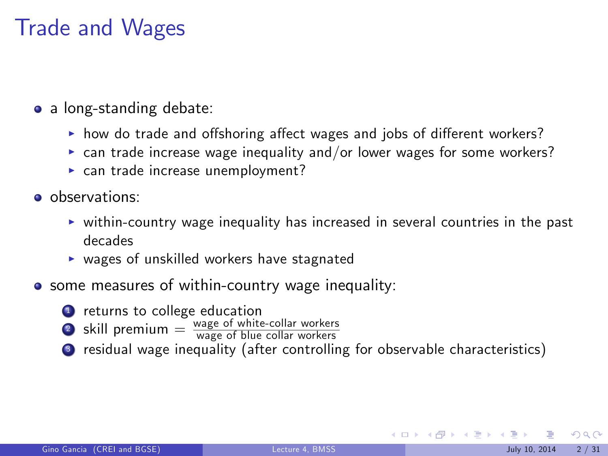## Trade and Wages

- a long-standing debate:
	- $\triangleright$  how do trade and offshoring affect wages and jobs of different workers?
	- $\triangleright$  can trade increase wage inequality and/or lower wages for some workers?
	- $\triangleright$  can trade increase unemployment?
- **o** observations:
	- $\triangleright$  within-country wage inequality has increased in several countries in the past decades
	- $\triangleright$  wages of unskilled workers have stagnated
- **•** some measures of within-country wage inequality:
	- **1** returns to college education
	- **2** skill premium  $=$   $\frac{wage}{wage}$  of white-collar workers
	-
	- <sup>3</sup> residual wage inequality (after controlling for observable characteristics)

 $\Omega$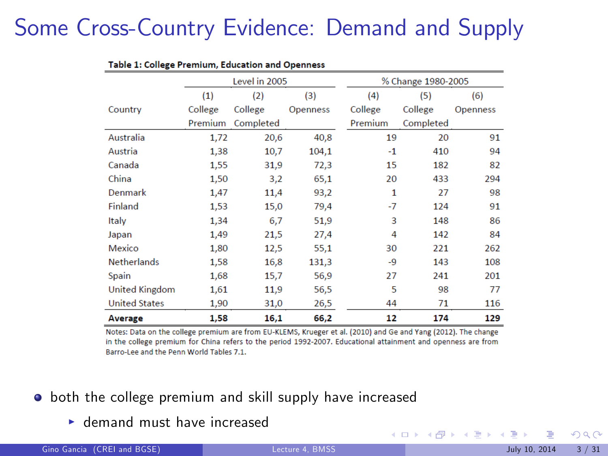# Some Cross-Country Evidence: Demand and Supply

| rable 1: conege r remium, Luucation and Opermess |               |           |                 |                    |           |                 |
|--------------------------------------------------|---------------|-----------|-----------------|--------------------|-----------|-----------------|
|                                                  | Level in 2005 |           |                 | % Change 1980-2005 |           |                 |
|                                                  | (1)           | (2)       | (3)             | (4)                | (5)       | (6)             |
| Country                                          | College       | College   | <b>Openness</b> | College            | College   | <b>Openness</b> |
|                                                  | Premium       | Completed |                 | Premium            | Completed |                 |
| Australia                                        | 1,72          | 20,6      | 40.8            | 19                 | 20        | 91              |
| Austria                                          | 1,38          | 10,7      | 104.1           | $-1$               | 410       | 94              |
| Canada                                           | 1,55          | 31,9      | 72,3            | 15                 | 182       | 82              |
| China                                            | 1,50          | 3,2       | 65,1            | 20                 | 433       | 294             |
| Denmark                                          | 1,47          | 11,4      | 93,2            | 1                  | 27        | 98              |
| Finland                                          | 1,53          | 15,0      | 79,4            | -7                 | 124       | 91              |
| Italy                                            | 1,34          | 6,7       | 51,9            | 3                  | 148       | 86              |
| Japan                                            | 1,49          | 21,5      | 27,4            | 4                  | 142       | 84              |
| Mexico                                           | 1,80          | 12,5      | 55,1            | 30                 | 221       | 262             |
| <b>Netherlands</b>                               | 1,58          | 16,8      | 131,3           | -9                 | 143       | 108             |
| Spain                                            | 1,68          | 15,7      | 56,9            | 27                 | 241       | 201             |
| United Kingdom                                   | 1,61          | 11,9      | 56,5            | 5                  | 98        | 77              |
| <b>United States</b>                             | 1,90          | 31,0      | 26,5            | 44                 | 71        | 116             |
| Average                                          | 1,58          | 16,1      | 66,2            | 12                 | 174       | 129             |

Table 1: College Premium, Education and Onenness

Notes: Data on the college premium are from EU-KLEMS, Krueger et al. (2010) and Ge and Yang (2012). The change in the college premium for China refers to the period 1992-2007. Educational attainment and openness are from Barro-Lee and the Penn World Tables 7.1.

- **•** both the college premium and skill supply have increased
	- $\blacktriangleright$  demand must have increased

 $\Omega$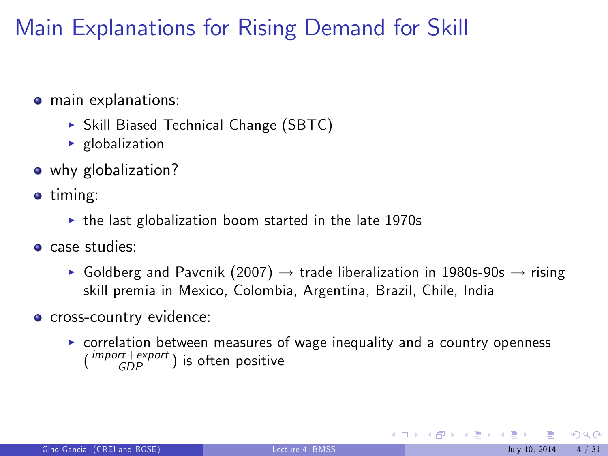## Main Explanations for Rising Demand for Skill

- **o** main explanations:
	- ▶ Skill Biased Technical Change (SBTC)
	- $\blacktriangleright$  globalization
- why globalization?
- **o** timing:
	- $\triangleright$  the last globalization boom started in the late 1970s
- **o** case studies:
	- Goldberg and Pavcnik (2007)  $\rightarrow$  trade liberalization in 1980s-90s  $\rightarrow$  rising skill premia in Mexico, Colombia, Argentina, Brazil, Chile, India
- **o** cross-country evidence:
	- $\triangleright$  correlation between measures of wage inequality and a country openness  $(\frac{import+expert}{GDP})$  is often positive

 $\Omega$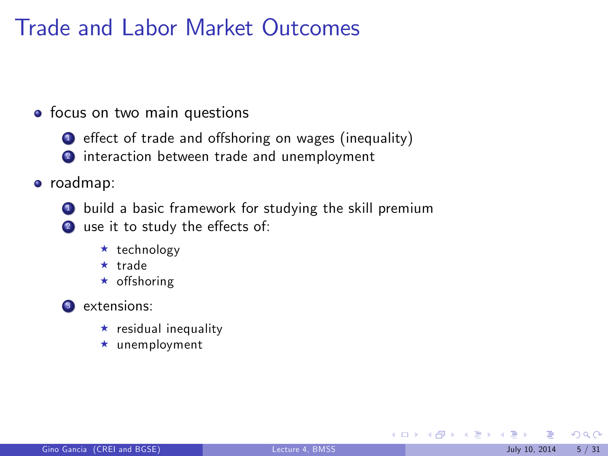### Trade and Labor Market Outcomes

#### • focus on two main questions

- **1** effect of trade and offshoring on wages (inequality)
- <sup>2</sup> interaction between trade and unemployment

#### roadmap:

- **4** build a basic framework for studying the skill premium
- 2 use it to study the effects of:
	- $\star$  technology
	- $\star$  trade
	- $\star$  offshoring

#### **3** extensions:

- $\star$  residual inequality
- $\star$  unemployment

<span id="page-4-0"></span> $\Omega$ 

メロメ メ都 メメ ミメ メミメ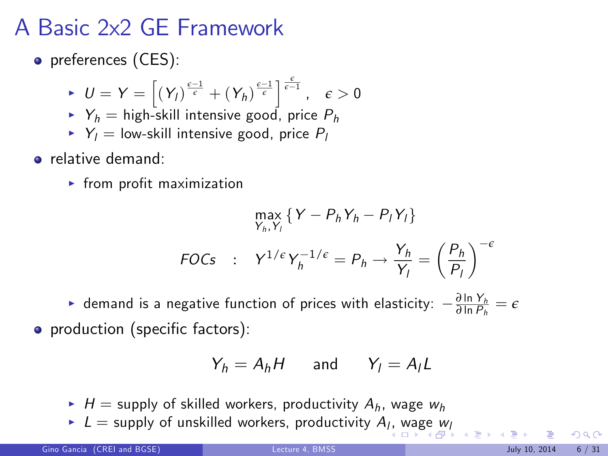## A Basic 2x2 GE Framework

**o** preferences (CES):

$$
\quad \text{for } U=Y=\left[\left(Y_{I}\right)^{\frac{\epsilon-1}{\epsilon}}+\left(Y_{h}\right)^{\frac{\epsilon-1}{\epsilon}}\right]^{\frac{\epsilon}{\epsilon-1}}, \quad \epsilon>0
$$

- $Y_h$  = high-skill intensive good, price  $P_h$
- $Y_l$  = low-skill intensive good, price  $P_l$
- **•** relative demand:
	- $\blacktriangleright$  from profit maximization

$$
\max_{Y_h, Y_l} \{ Y - P_h Y_h - P_l Y_l \}
$$
  
FOCs : 
$$
Y^{1/\epsilon} Y_h^{-1/\epsilon} = P_h \rightarrow \frac{Y_h}{Y_l} = \left(\frac{P_h}{P_l}\right)^{-\epsilon}
$$

 $\blacktriangleright$  demand is a negative function of prices with elasticity:  $-\frac{\partial \ln Y_h}{\partial \ln P_h} = \epsilon$ • production (specific factors):

$$
Y_h = A_h H \qquad \text{and} \qquad Y_l = A_l L
$$

- $H =$  supply of skilled workers, productivity  $A_h$ , wage  $w_h$
- $\blacktriangleright$  $\blacktriangleright$  $\blacktriangleright$   $L=$  supply of unskilled workers[,](#page-4-0) productivity  $A_{l}$  $A_{l}$  $A_{l}$ , [wag](#page-6-0)e  $w_{l}$  $w_{l}$

<span id="page-5-0"></span> $\Omega$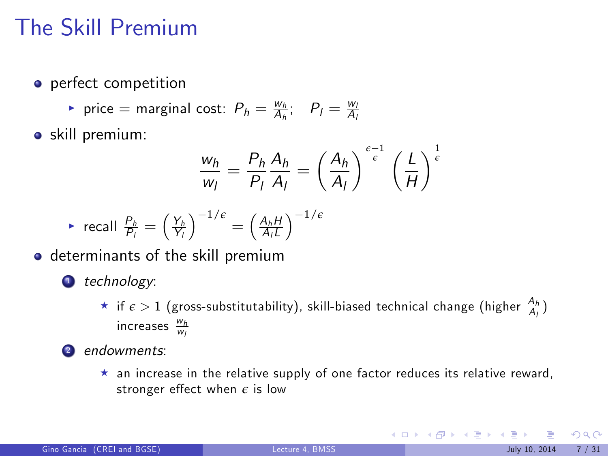## The Skill Premium

- **o** perfect competition
	- rice = marginal cost:  $P_h = \frac{w_h}{A_h}$ ;  $P_l = \frac{w_l}{A_l}$
- **•** skill premium:

$$
\frac{w_h}{w_l} = \frac{P_h}{P_l} \frac{A_h}{A_l} = \left(\frac{A_h}{A_l}\right)^{\frac{\varepsilon - 1}{\varepsilon}} \left(\frac{L}{H}\right)^{\frac{1}{\varepsilon}}
$$

<sup>I</sup> recall <sup>P</sup><sup>h</sup> Pl = Yh Yl 1/*<sup>e</sup>* = AhH A<sup>l</sup> L 1/*<sup>e</sup>*

- o determinants of the skill premium
	- **1** technology:
		- $\star$  if  $\epsilon > 1$  (gross-substitutability), skill-biased technical change (higher  $\frac{A_h}{A_l}$ ) increases  $\frac{w_h}{w_l}$
	- <sup>2</sup> endowments:
		- $\star$  an increase in the relative supply of one factor reduces its relative reward, stronger effect when  $\epsilon$  is low

<span id="page-6-0"></span> $209$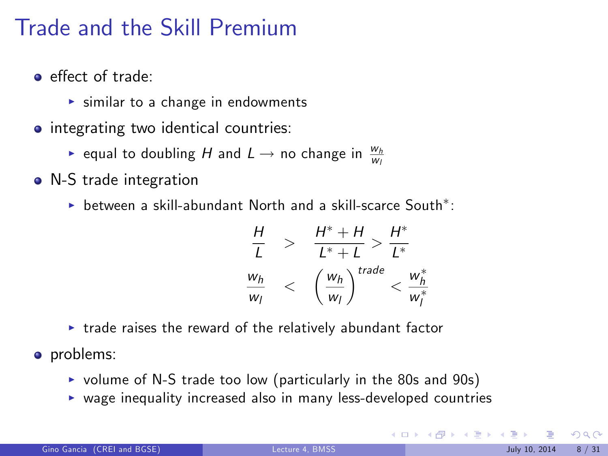## Trade and the Skill Premium

- e effect of trade:
	- $\triangleright$  similar to a change in endowments
- integrating two identical countries:
	- $\blacktriangleright$  equal to doubling  $H$  and  $L\to$  no change in  $\frac{w_h}{w_l}$
- N-S trade integration
	- $\blacktriangleright$  between a skill-abundant North and a skill-scarce South $^*$ :

$$
\frac{H}{L} > \frac{H^* + H}{L^* + L} > \frac{H^*}{L^*}
$$
\n
$$
\frac{w_h}{w_l} < \left(\frac{w_h}{w_l}\right)^{trade} < \frac{w_h^*}{w_l^*}
$$

- $\triangleright$  trade raises the reward of the relatively abundant factor
- problems:
	- $\triangleright$  volume of N-S trade too low (particularly in the 80s and 90s)
	- $\triangleright$  wage inequality increased also in many less-developed countries

 $\Omega$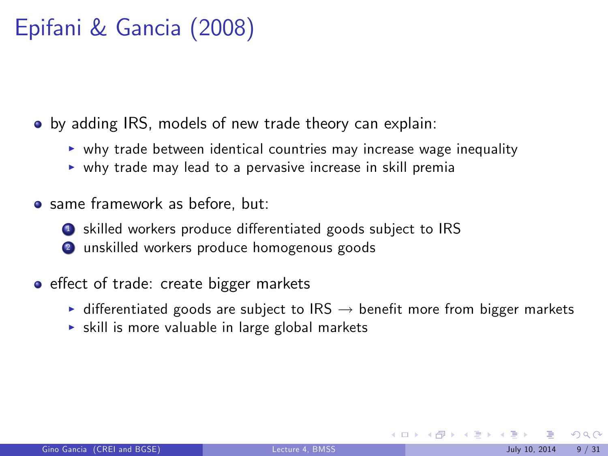# Epifani & Gancia (2008)

• by adding IRS, models of new trade theory can explain:

- $\triangleright$  why trade between identical countries may increase wage inequality
- $\triangleright$  why trade may lead to a pervasive increase in skill premia
- same framework as before, but:
	- skilled workers produce differentiated goods subject to IRS
	- <sup>2</sup> unskilled workers produce homogenous goods
- effect of trade: create bigger markets
	- $\triangleright$  differentiated goods are subject to IRS  $\rightarrow$  benefit more from bigger markets
	- $\triangleright$  skill is more valuable in large global markets

 $\Omega$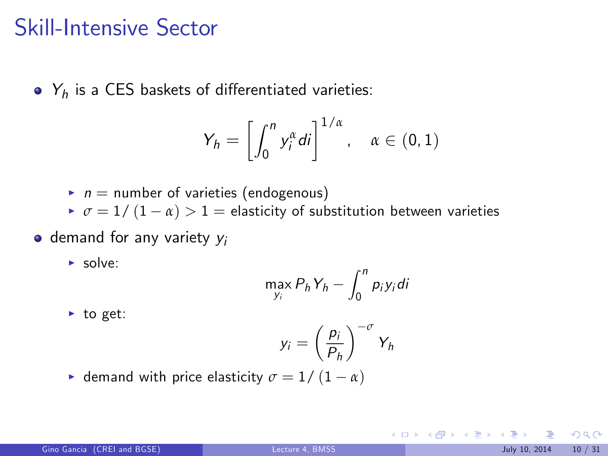#### Skill-Intensive Sector

 $Y_h$  is a CES baskets of differentiated varieties:

$$
Y_h = \left[ \int_0^n y_i^{\alpha} di \right]^{1/\alpha}, \quad \alpha \in (0, 1)
$$

- $\blacktriangleright$  n = number of varieties (endogenous)
- $\sigma = 1/(1 \alpha) > 1$  = elasticity of substitution between varieties

#### $\bullet$  demand for any variety  $y_i$

 $\blacktriangleright$  solve:

$$
\max_{y_i} P_h Y_h - \int_0^n p_i y_i \, di
$$

 $\blacktriangleright$  to get:

$$
y_i = \left(\frac{p_i}{P_h}\right)^{-\sigma} Y_h
$$

**•** demand with price elasticity  $\sigma = 1/(1 - \alpha)$ 

 $QQ$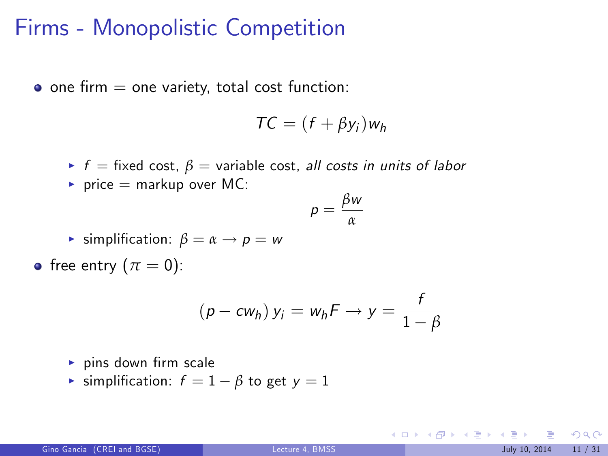#### Firms - Monopolistic Competition

 $\bullet$  one firm  $=$  one variety, total cost function:

$$
TC = (f + \beta y_i) w_h
$$

- $\blacktriangleright$  f = fixed cost,  $\beta$  = variable cost, all costs in units of labor
- $\blacktriangleright$  price = markup over MC:

$$
p=\frac{\beta w}{\alpha}
$$

- **F** simplification:  $\beta = \alpha \rightarrow p = w$
- free entry  $(\pi = 0)$ :

$$
(p - c w_h) y_i = w_h F \rightarrow y = \frac{f}{1 - \beta}
$$

- $\blacktriangleright$  pins down firm scale
- $\triangleright$  simplification:  $f = 1 \beta$  to get  $y = 1$

 $209$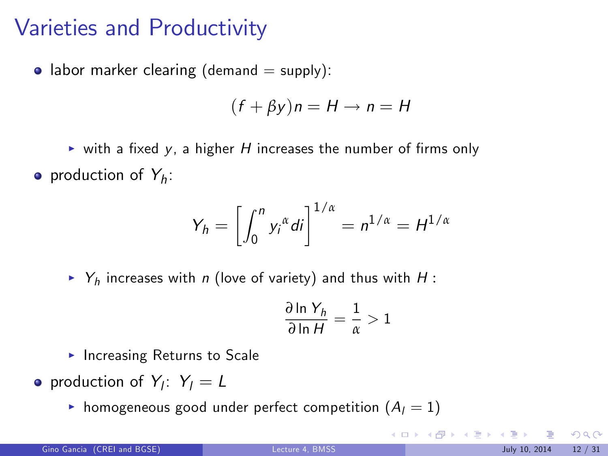## Varieties and Productivity

• labor marker clearing (demand  $=$  supply):

$$
(f + \beta y)n = H \rightarrow n = H
$$

ightharpoonup with a fixed y, a higher H increases the number of firms only production of  $Y_h$ :

$$
Y_h = \left[\int_0^n y_i^{\alpha} di\right]^{1/\alpha} = n^{1/\alpha} = H^{1/\alpha}
$$

 $\triangleright$  Y<sub>h</sub> increases with n (love of variety) and thus with H :

$$
\frac{\partial \ln Y_h}{\partial \ln H} = \frac{1}{\alpha} > 1
$$

- $\blacktriangleright$  Increasing Returns to Scale
- production of  $Y_i$ :  $Y_i = L$ 
	- homogeneous good under perfect competition  $(A_1 = 1)$

 $209$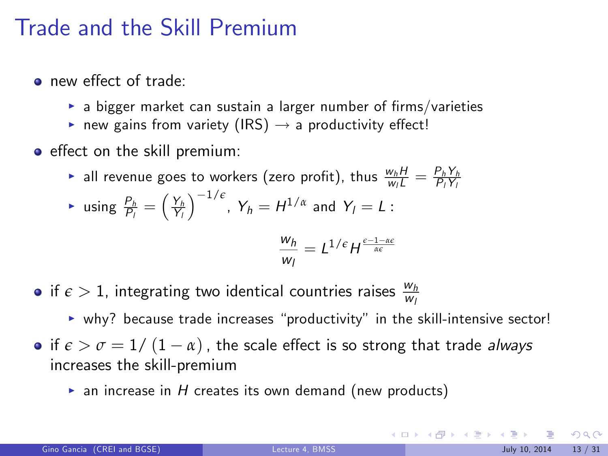#### Trade and the Skill Premium

- new effect of trade:
	- $\rightarrow$  a bigger market can sustain a larger number of firms/varieties
	- new gains from variety (IRS)  $\rightarrow$  a productivity effect!
- effect on the skill premium:
	- $\blacktriangleright$  all revenue goes to workers (zero profit), thus  $\frac{w_h H}{w_l L} = \frac{P_h Y_h}{P_l Y_l}$

$$
\text{ is using } \frac{P_h}{P_i} = \left(\frac{Y_h}{Y_l}\right)^{-1/\epsilon}, \ Y_h = H^{1/\alpha} \text{ and } Y_l = L:
$$

$$
\frac{w_h}{w_I} = L^{1/\epsilon} H^{\frac{\epsilon-1-\alpha\epsilon}{\alpha\epsilon}}
$$

- if  $\epsilon > 1$ , integrating two identical countries raises  $\frac{w_h}{w_l}$
- $\triangleright$  why? because trade increases "productivity" in the skill-intensive sector! • if  $\epsilon > \sigma = 1/ (1 - \alpha)$ , the scale effect is so strong that trade *always* increases the skill-premium
	- $\triangleright$  an increase in H creates its own demand (new products)

 $209$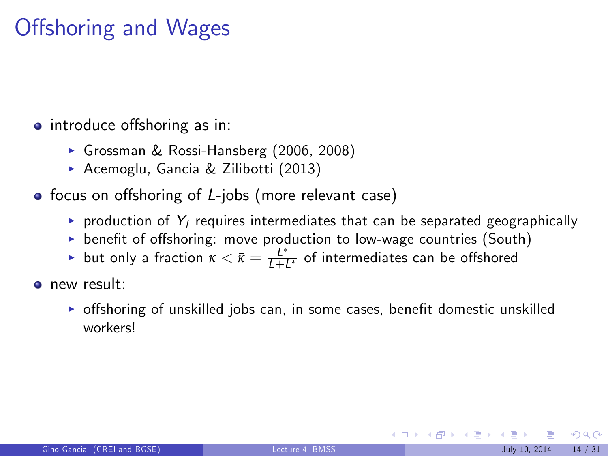## Offshoring and Wages

- introduce offshoring as in:
	- ► Grossman & Rossi-Hansberg (2006, 2008)
	- ▶ Acemoglu, Gancia & Zilibotti (2013)
- focus on offshoring of  $L$ -jobs (more relevant case)
	- $\blacktriangleright$  production of  $Y_l$  requires intermediates that can be separated geographically
	- $\triangleright$  benefit of offshoring: move production to low-wage countries (South)
	- ► but only a fraction  $\kappa < \bar{\kappa} = \frac{L^*}{L + L^*}$  of intermediates can be offshored
- **o** new result:
	- $\triangleright$  offshoring of unskilled jobs can, in some cases, benefit domestic unskilled workers!

 $\Omega$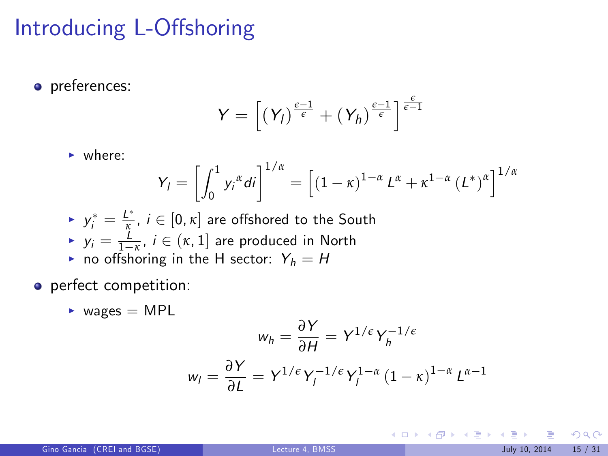## Introducing L-Offshoring

**o** preferences:

$$
Y = \left[ (Y_I)^{\frac{\epsilon - 1}{\epsilon}} + (Y_h)^{\frac{\epsilon - 1}{\epsilon}} \right]^{\frac{\epsilon}{\epsilon - 1}}
$$

 $\blacktriangleright$  where:

$$
Y_{l}=\left[\int_{0}^{1}y_{i}^{\alpha}di\right]^{1/\alpha}=\left[\left(1-\kappa\right)^{1-\alpha}L^{\alpha}+\kappa^{1-\alpha}\left(L^{*}\right)^{\alpha}\right]^{1/\alpha}
$$

- $\blacktriangleright \ \ y^*_i = \frac{L^*}{\kappa}, \ i \in [0, \kappa]$  are offshored to the South
- $y_i = \frac{1}{1 \kappa}, i \in (\kappa, 1]$  are produced in North
- $\sum_{j} y_j = \frac{1}{1 \kappa}, \; i \in (\kappa, 1]$  are produced in N<br>
ightharpoonup in the H sector:  $Y_h = H$
- o perfect competition:
	- $\blacktriangleright$  wages = MPL

$$
w_h = \frac{\partial Y}{\partial H} = Y^{1/\epsilon} Y_h^{-1/\epsilon}
$$

$$
w_l = \frac{\partial Y}{\partial L} = Y^{1/\epsilon} Y_l^{-1/\epsilon} Y_l^{1-\alpha} (1-\kappa)^{1-\alpha} L^{\alpha-1}
$$

 $2990$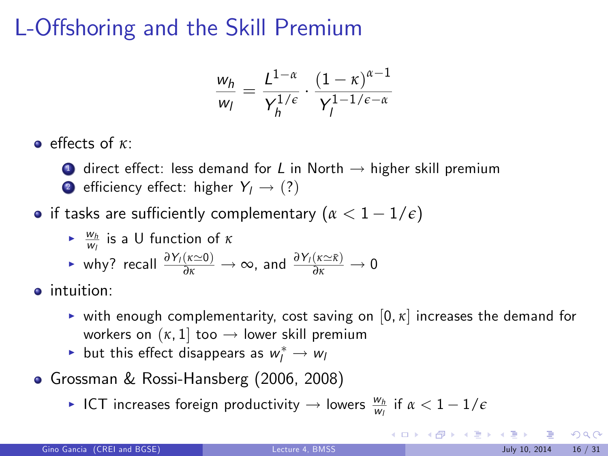## L-Offshoring and the Skill Premium

$$
\frac{w_h}{w_l} = \frac{L^{1-\alpha}}{Y_h^{1/\epsilon}} \cdot \frac{(1-\kappa)^{\alpha-1}}{Y_l^{1-1/\epsilon-\alpha}}
$$

e effects of *κ*:

- $\bullet$  direct effect: less demand for L in North  $\rightarrow$  higher skill premium
- **2** efficiency effect: higher  $Y_1 \rightarrow (?)$
- **•** if tasks are sufficiently complementary  $(\alpha < 1 1/\epsilon)$ 
	- **►**  $\frac{w_h}{w_l}$  is a U function of *κ*

$$
\triangleright \text{ why? recall } \frac{\partial Y_I(\kappa \simeq 0)}{\partial \kappa} \to \infty \text{, and } \frac{\partial Y_I(\kappa \simeq \bar{\kappa})}{\partial \kappa} \to 0
$$

 $\bullet$  intuition:

- **•** with enough complementarity, cost saving on  $[0, \kappa]$  increases the demand for workers on  $(\kappa, 1]$  too  $\rightarrow$  lower skill premium
- $\blacktriangleright$  but this effect disappears as  $w_l^* \to w_l$
- Grossman & Rossi-Hansberg (2006, 2008)
	- $\blacktriangleright$  ICT increases foreign productivity  $\rightarrow$  lowers  $\frac{w_h}{w_l}$  if  $\alpha < 1 1/\epsilon$

<span id="page-15-0"></span> $209$ 

メロメ メ部 メメ きょうくきょう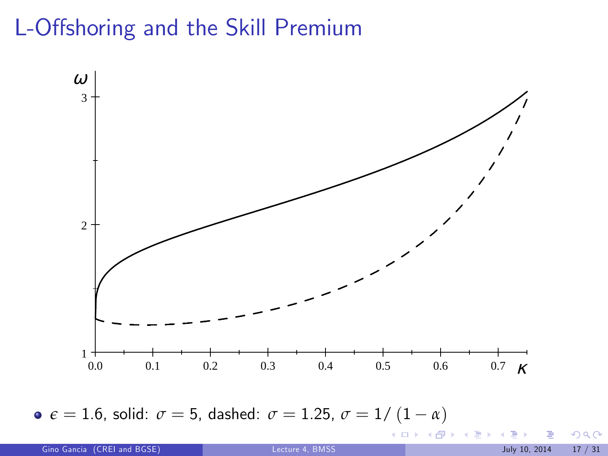## L-Offshoring and the Skill Premium



**e**  $\epsilon = 1.6$ , solid:  $\sigma = 5$ , dashed:  $\sigma = 1.25$ ,  $\sigma = 1/(1 - \alpha)$ 

**≮ロ ▶ ⊀ 伊 ▶** 

 $\rightarrow$   $\equiv$   $\rightarrow$ 

 $299$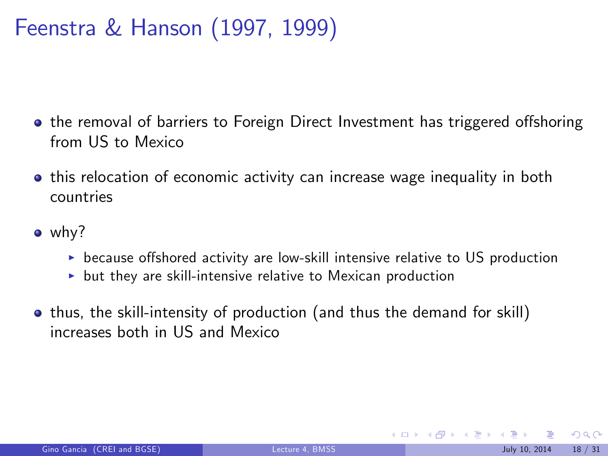## Feenstra & Hanson (1997, 1999)

- the removal of barriers to Foreign Direct Investment has triggered offshoring from US to Mexico
- **•** this relocation of economic activity can increase wage inequality in both countries
- why?
	- $\triangleright$  because offshored activity are low-skill intensive relative to US production
	- $\triangleright$  but they are skill-intensive relative to Mexican production
- thus, the skill-intensity of production (and thus the demand for skill) increases both in US and Mexico

<span id="page-17-0"></span> $\Omega$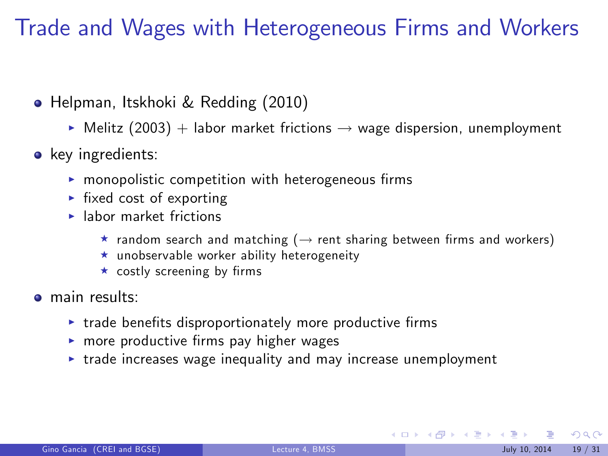Trade and Wages with Heterogeneous Firms and Workers

- Helpman, Itskhoki & Redding (2010)
	- $\triangleright$  Melitz (2003) + labor market frictions  $\rightarrow$  wage dispersion, unemployment
- key ingredients:
	- $\blacktriangleright$  monopolistic competition with heterogeneous firms
	- $\blacktriangleright$  fixed cost of exporting
	- $\blacktriangleright$  labor market frictions
		- $\star$  random search and matching ( $\rightarrow$  rent sharing between firms and workers)
		- $\star$  unobservable worker ability heterogeneity
		- $\star$  costly screening by firms
- a main results:
	- $\triangleright$  trade benefits disproportionately more productive firms
	- $\triangleright$  more productive firms pay higher wages
	- $\triangleright$  trade increases wage inequality and may increase unemployment

 $\Omega$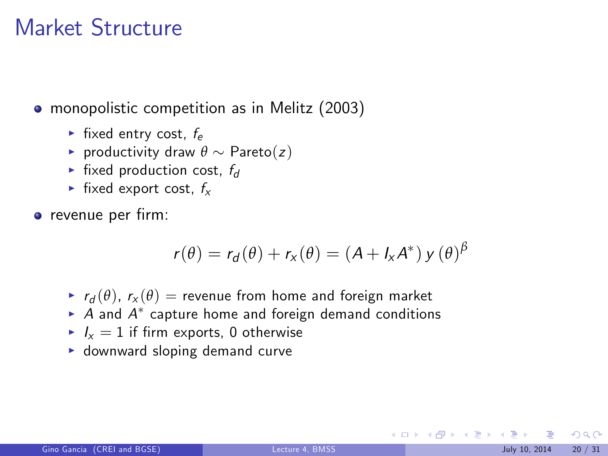#### Market Structure

• monopolistic competition as in Melitz (2003)

- $\blacktriangleright$  fixed entry cost,  $f_e$
- **P** productivity draw  $\theta \sim$  Pareto(z)
- $\blacktriangleright$  fixed production cost,  $f_d$
- $\blacktriangleright$  fixed export cost,  $f_x$

**o** revenue per firm:

$$
r(\theta) = r_d(\theta) + r_x(\theta) = (A + I_x A^*) y(\theta)^{\beta}
$$

- $r_d(\theta)$ ,  $r_x(\theta)$  = revenue from home and foreign market
- $\blacktriangleright$   $A$  and  $A^*$  capture home and foreign demand conditions
- $I_x = 1$  if firm exports, 0 otherwise
- $\blacktriangleright$  downward sloping demand curve

 $\Omega$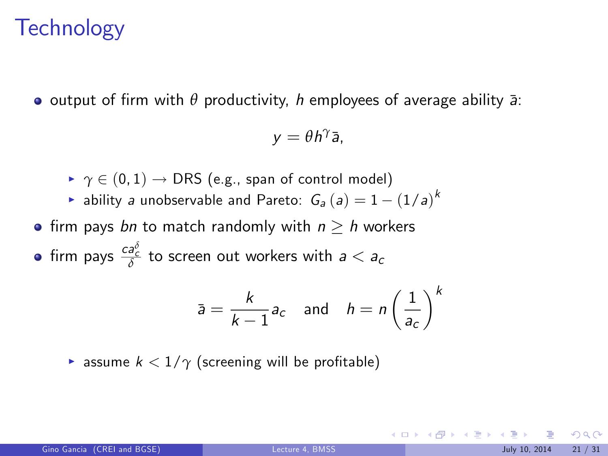#### **Technology**

**•** output of firm with  $\theta$  productivity, h employees of average ability  $\bar{a}$ :

 $y = θh^γ$ ā,

- $\rightarrow \gamma \in (0, 1) \rightarrow \text{DRS}$  (e.g., span of control model)
- $\blacktriangleright$  ability *a* unobservable and Pareto:  $G_a(a) = 1 (1/a)^k$
- firm pays bn to match randomly with  $n \geq h$  workers

firm pays  $\frac{ca_{c}^{2}}{\delta}$  to screen out workers with  $a < a_{c}$ 

$$
\bar{a} = \frac{k}{k-1} a_c \quad \text{and} \quad h = n \left(\frac{1}{a_c}\right)^k
$$

**F** assume  $k < 1/\gamma$  (screening will be profitable)

 $209$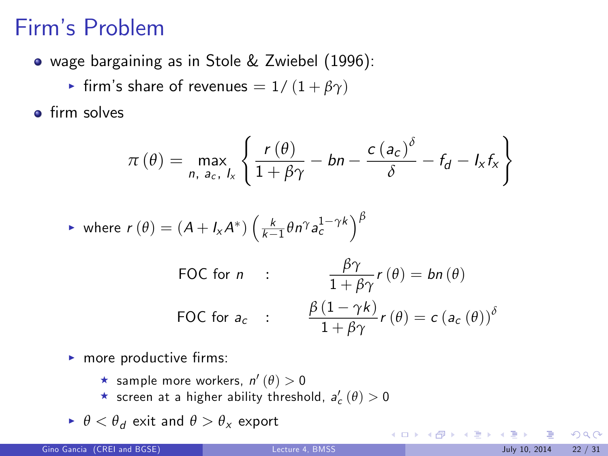## Firmís Problem

- wage bargaining as in Stole & Zwiebel (1996):
	- $\triangleright$  firm's share of revenues = 1/ (1 + *βγ*)

 $\bullet$  firm solves

$$
\pi(\theta) = \max_{n, a_c, l_x} \left\{ \frac{r(\theta)}{1 + \beta \gamma} - bn - \frac{c(a_c)^{\delta}}{\delta} - f_d - l_x f_x \right\}
$$

$$
\blacktriangleright \text{ where } r(\theta) = (A + I_x A^*) \left( \frac{k}{k-1} \theta n^\gamma a_c^{1-\gamma k} \right)^\beta
$$

FOC for *n* : 
$$
\frac{\beta \gamma}{1 + \beta \gamma} r(\theta) = b n(\theta)
$$
  
FOC for  $a_c$  : 
$$
\frac{\beta (1 - \gamma k)}{1 + \beta \gamma} r(\theta) = c (a_c(\theta))^{\delta}
$$

- $\blacktriangleright$  more productive firms:
	- $\star$  sample more workers,  $n'(\theta) > 0$
	- $\star$  screen at a higher ability threshold,  $a_{c}'\left(\theta\right)>0$
- $\blacktriangleright$   $\theta < \theta_d$  exit and  $\theta > \theta_x$  export

 $299$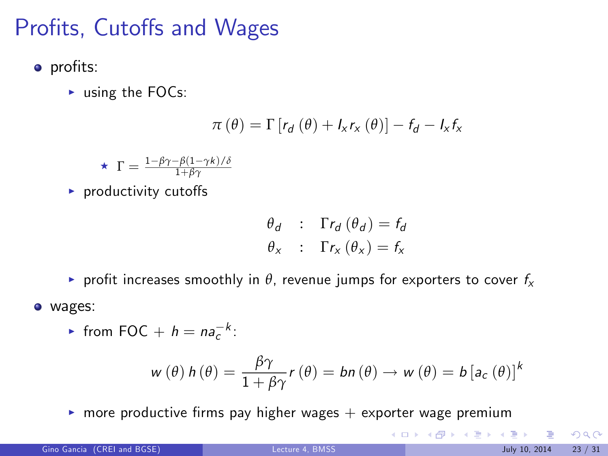## Profits, Cutoffs and Wages

- profits:
	- $\blacktriangleright$  using the FOCs:

$$
\pi(\theta) = \Gamma[r_d(\theta) + I_x r_x(\theta)] - f_d - I_x f_x
$$

$$
\star \ \Gamma = \tfrac{1-\beta\gamma-\beta(1-\gamma k)/\delta}{1+\beta\gamma}
$$

 $\blacktriangleright$  productivity cutoffs

$$
\begin{array}{rcl}\n\theta_d & \vdots & \Gamma r_d \left( \theta_d \right) = f_d \\
\theta_x & \vdots & \Gamma r_x \left( \theta_x \right) = f_x\n\end{array}
$$

- **P** profit increases smoothly in  $\theta$ , revenue jumps for exporters to cover  $f_x$
- wages:
	- If from FOC +  $h = na_c^{-k}$ :

$$
w(\theta) h(\theta) = \frac{\beta \gamma}{1 + \beta \gamma} r(\theta) = bn(\theta) \rightarrow w(\theta) = b [a_c(\theta)]^k
$$

 $\triangleright$  more productive firms pay higher wages  $+$  exporter wage premium

 $299$ 

メロメ メ都 メメ きょうくぼ メー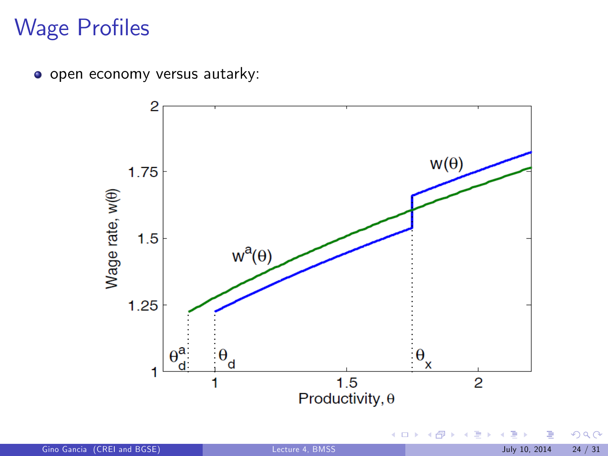## **Wage Profiles**

o open economy versus autarky:



 $290$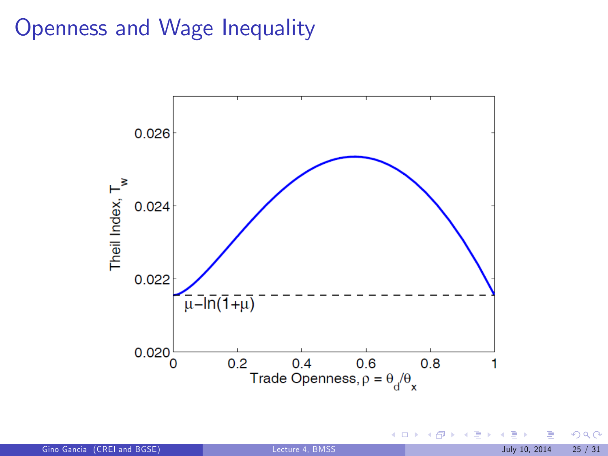#### Openness and Wage Inequality



Gino Gancia (CREI and BGSE) [Lecture 4, BMSS](#page-0-0) July 10, 2014 25 / 31

 $299$ 

**K ロ ト K 御 ト K ミ ト**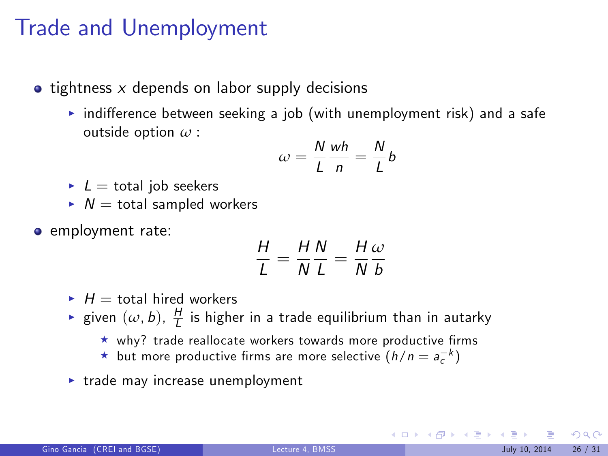#### Trade and Unemployment

- $\bullet$  tightness x depends on labor supply decisions
	- $\triangleright$  indifference between seeking a job (with unemployment risk) and a safe outside option *ω* :

$$
\omega = \frac{N}{L} \frac{wh}{n} = \frac{N}{L} b
$$

- $L =$  total job seekers
- $N =$  total sampled workers
- **e** employment rate:

$$
\frac{H}{L} = \frac{H}{N}\frac{N}{L} = \frac{H}{N}\frac{\omega}{b}
$$

- $H =$  total hired workers
- $\blacktriangleright$  given  $(\omega, b)$ ,  $\frac{H}{L}$  is higher in a trade equilibrium than in autarky
	- $\star$  why? trade reallocate workers towards more productive firms
	- $\star$  but more productive firms are more selective  $(h/n = a_c^{-k})$
- $\triangleright$  trade may increase unemployment

 $\Omega$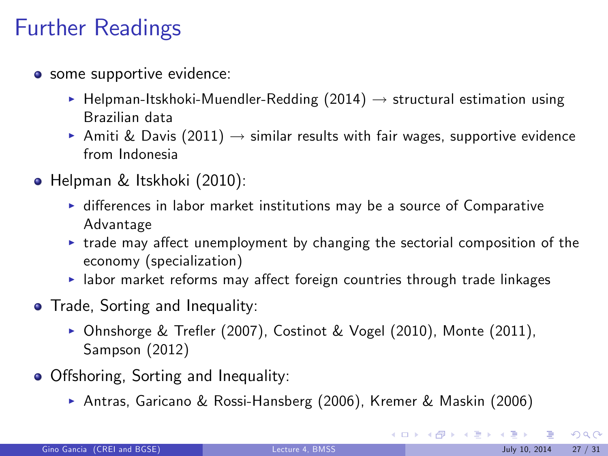## Further Readings

- some supportive evidence:
	- $\blacktriangleright$  Helpman-Itskhoki-Muendler-Redding (2014)  $\rightarrow$  structural estimation using Brazilian data
	- Amiti & Davis (2011)  $\rightarrow$  similar results with fair wages, supportive evidence from Indonesia
- Helpman & Itskhoki (2010):
	- ▶ differences in labor market institutions may be a source of Comparative Advantage
	- $\triangleright$  trade may affect unemployment by changing the sectorial composition of the economy (specialization)
	- $\blacktriangleright$  labor market reforms may affect foreign countries through trade linkages
- **•** Trade, Sorting and Inequality:
	- $\triangleright$  Ohnshorge & Trefler (2007), Costinot & Vogel (2010), Monte (2011), Sampson (2012)
- Offshoring, Sorting and Inequality:
	- ▶ Antras, Garicano & Rossi-Hansberg (2006), Kremer & Maskin (2006)

 $\Omega$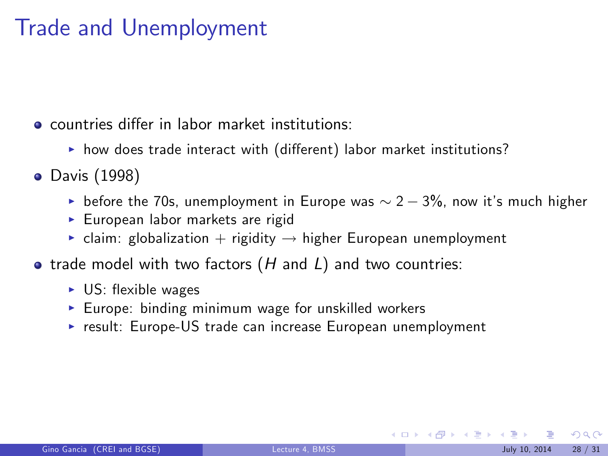## Trade and Unemployment

**e** countries differ in labor market institutions:

- ▶ how does trade interact with (different) labor market institutions?
- **•** Davis (1998)
	- before the 70s, unemployment in Europe was  $\sim 2 3\%$ , now it's much higher
	- $\blacktriangleright$  European labor markets are rigid
	- $\triangleright$  claim: globalization + rigidity  $\rightarrow$  higher European unemployment
- $\bullet$  trade model with two factors (H and L) and two countries:
	- $\triangleright$  US: flexible wages
	- Europe: binding minimum wage for unskilled workers
	- $\triangleright$  result: Europe-US trade can increase European unemployment

 $\Omega$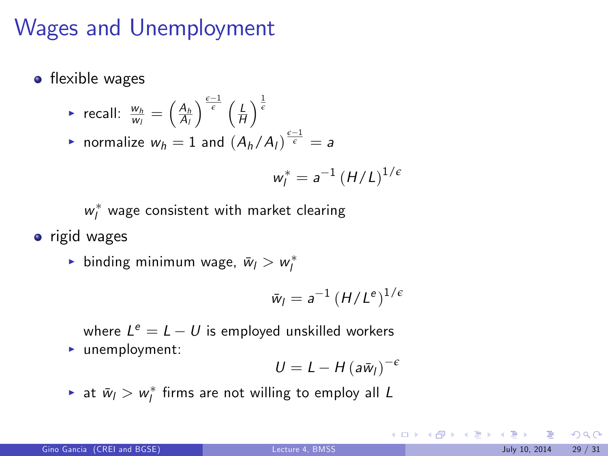## Wages and Unemployment

 $\bullet$  flexible wages

▶ recall: 
$$
\frac{w_h}{w_l} = \left(\frac{A_h}{A_l}\right)^{\frac{\epsilon-1}{\epsilon}} \left(\frac{l}{H}\right)^{\frac{1}{\epsilon}}
$$
  
\n▶ normalize  $w_h = 1$  and  $\left(A_h/A_l\right)^{\frac{\epsilon-1}{\epsilon}} = a$ 

$$
w_l^* = a^{-1} \left( H/L \right)^{1/\epsilon}
$$

 $w_l^*$  wage consistent with market clearing

• rigid wages

 $\blacktriangleright$  binding minimum wage,  $\bar{w}_l > w^*_l$ 

$$
\bar{w}_l = a^{-1} \left( H/L^e \right)^{1/e}
$$

where  $L^e = L - U$  is employed unskilled workers  $\blacktriangleright$  unemployment:

$$
U=L-H(a\bar{w}_l)^{-\epsilon}
$$

 $\blacktriangleright$  at  $\bar{w}_l > w^*_l$  firms are not willing to employ all  $L$ 

 $299$ 

**K ロ X K 個 X K 差 X K 差 X**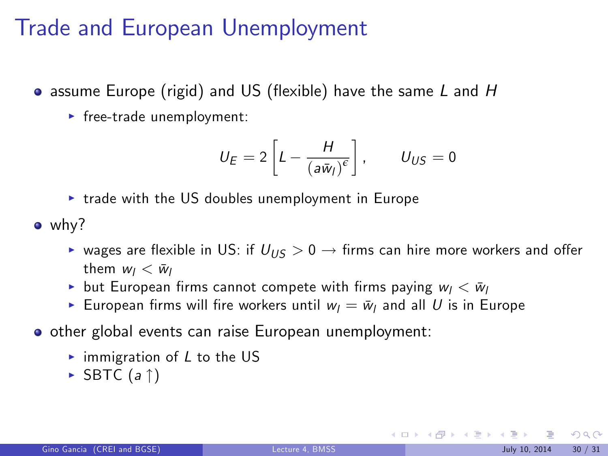## Trade and European Unemployment

- $\bullet$  assume Europe (rigid) and US (flexible) have the same  $L$  and  $H$ 
	- $\blacktriangleright$  free-trade unemployment:

$$
U_E = 2\left[L - \frac{H}{\left(a\bar{w}_I\right)^{\epsilon}}\right], \qquad U_{US} = 0
$$

- $\triangleright$  trade with the US doubles unemployment in Europe
- why?
	- ► wages are flexible in US: if  $U_{1/5} > 0 \rightarrow$  firms can hire more workers and offer them  $w_l < \bar{w}_l$
	- but European firms cannot compete with firms paying  $w_l < \bar{w}_l$
	- European firms will fire workers until  $w_l = \bar{w}_l$  and all U is in Europe
- o other global events can raise European unemployment:
	- $\triangleright$  immigration of L to the US
	- $\triangleright$  SBTC (a  $\uparrow$ )

 $\Omega$